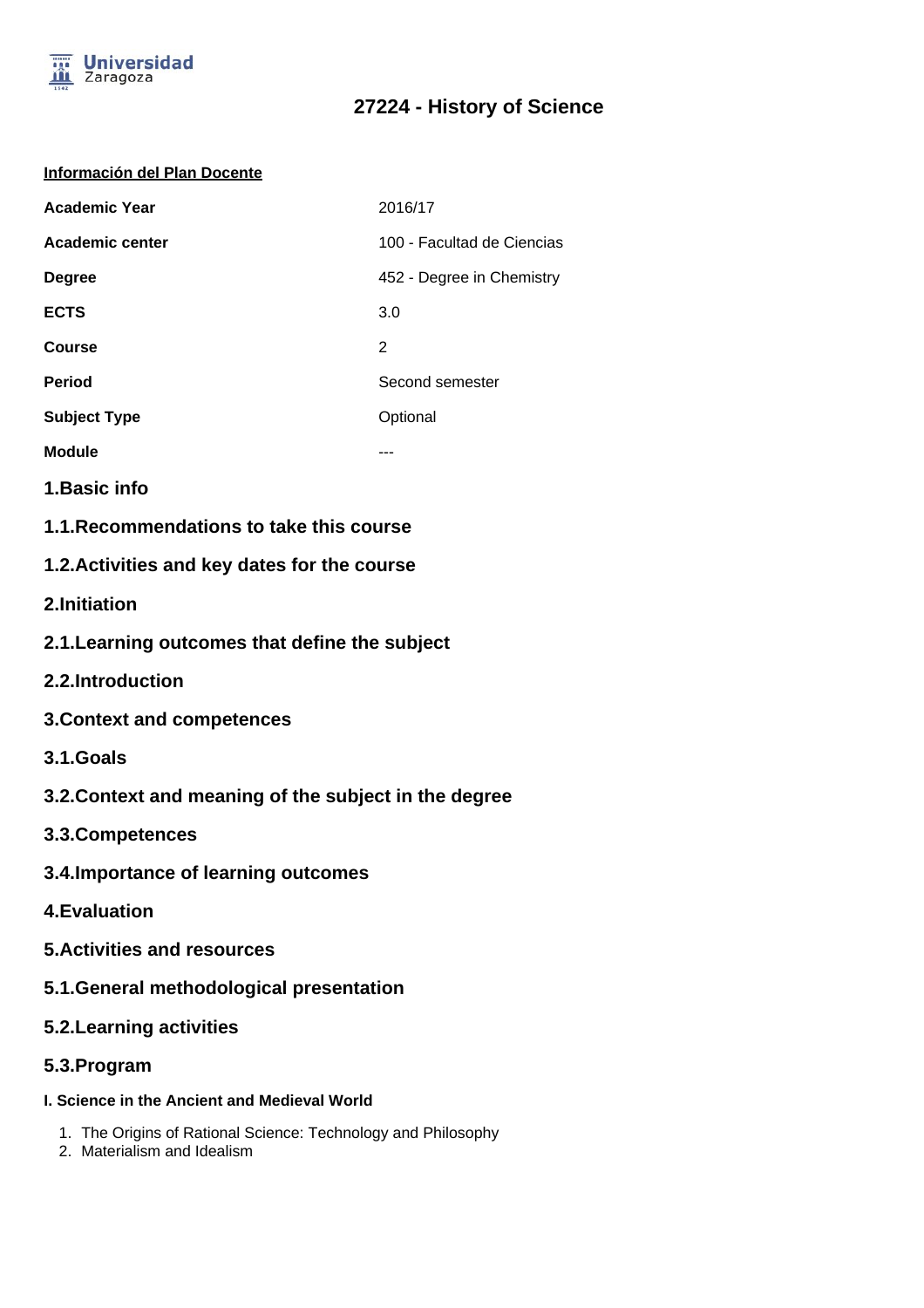

# **27224 - History of Science**

### **Información del Plan Docente**

| <b>Academic Year</b> | 2016/17                    |
|----------------------|----------------------------|
| Academic center      | 100 - Facultad de Ciencias |
| <b>Degree</b>        | 452 - Degree in Chemistry  |
| <b>ECTS</b>          | 3.0                        |
| Course               | 2                          |
| <b>Period</b>        | Second semester            |
| <b>Subject Type</b>  | Optional                   |
| <b>Module</b>        |                            |

- **1.Basic info**
- **1.1.Recommendations to take this course**

## **1.2.Activities and key dates for the course**

- **2.Initiation**
- **2.1.Learning outcomes that define the subject**
- **2.2.Introduction**
- **3.Context and competences**
- **3.1.Goals**
- **3.2.Context and meaning of the subject in the degree**
- **3.3.Competences**
- **3.4.Importance of learning outcomes**
- **4.Evaluation**
- **5.Activities and resources**
- **5.1.General methodological presentation**
- **5.2.Learning activities**
- **5.3.Program**
- **I. Science in the Ancient and Medieval World**
	- 1. The Origins of Rational Science: Technology and Philosophy
	- 2. Materialism and Idealism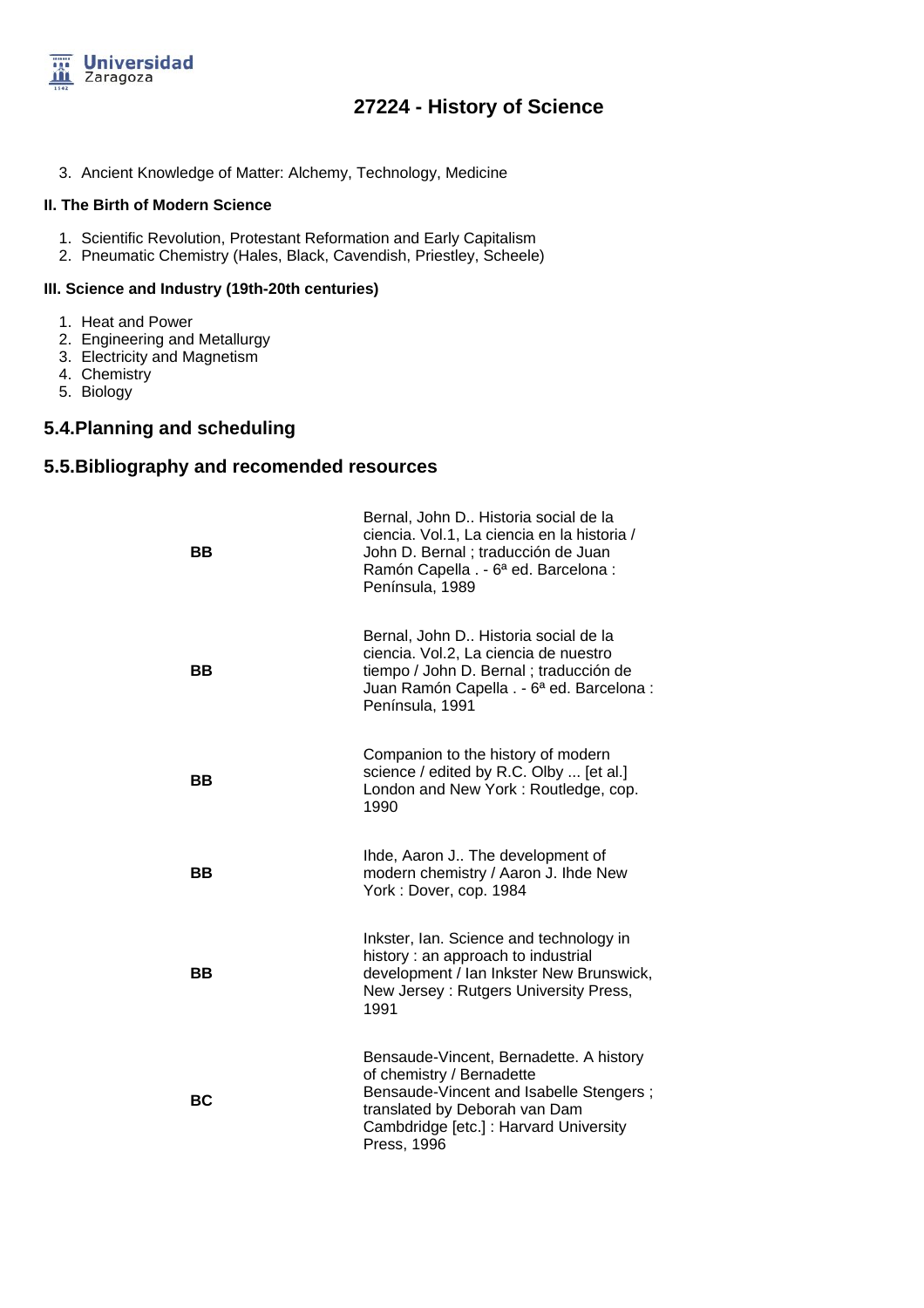

## **27224 - History of Science**

3. Ancient Knowledge of Matter: Alchemy, Technology, Medicine

#### **II. The Birth of Modern Science**

- 1. Scientific Revolution, Protestant Reformation and Early Capitalism
- 2. Pneumatic Chemistry (Hales, Black, Cavendish, Priestley, Scheele)

#### **III. Science and Industry (19th-20th centuries)**

- 1. Heat and Power
- 2. Engineering and Metallurgy
- 3. Electricity and Magnetism
- 4. Chemistry
- 5. Biology

### **5.4.Planning and scheduling**

### **5.5.Bibliography and recomended resources**

| BB        | Bernal, John D Historia social de la<br>ciencia. Vol.1, La ciencia en la historia /<br>John D. Bernal ; traducción de Juan<br>Ramón Capella . - 6ª ed. Barcelona :<br>Península, 1989                     |
|-----------|-----------------------------------------------------------------------------------------------------------------------------------------------------------------------------------------------------------|
| <b>BB</b> | Bernal, John D Historia social de la<br>ciencia. Vol.2, La ciencia de nuestro<br>tiempo / John D. Bernal; traducción de<br>Juan Ramón Capella . - 6ª ed. Barcelona :<br>Península, 1991                   |
| BB        | Companion to the history of modern<br>science / edited by R.C. Olby  [et al.]<br>London and New York: Routledge, cop.<br>1990                                                                             |
| BВ        | Ihde, Aaron J The development of<br>modern chemistry / Aaron J. Ihde New<br>York: Dover, cop. 1984                                                                                                        |
| ВB        | Inkster, Ian. Science and technology in<br>history: an approach to industrial<br>development / Ian Inkster New Brunswick,<br>New Jersey: Rutgers University Press,<br>1991                                |
| <b>BC</b> | Bensaude-Vincent, Bernadette. A history<br>of chemistry / Bernadette<br>Bensaude-Vincent and Isabelle Stengers;<br>translated by Deborah van Dam<br>Cambdridge [etc.] : Harvard University<br>Press, 1996 |